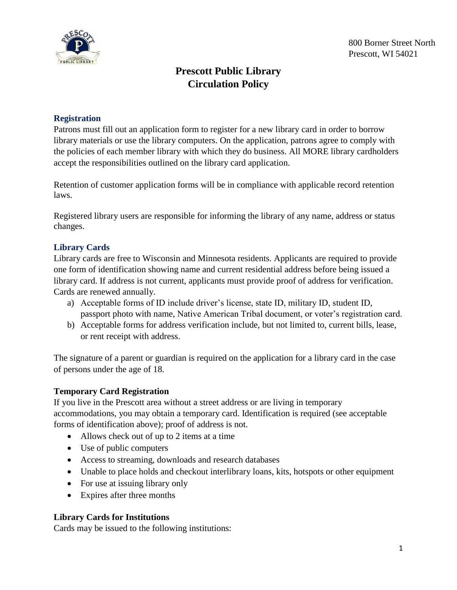

# **Prescott Public Library Circulation Policy**

### **Registration**

Patrons must fill out an application form to register for a new library card in order to borrow library materials or use the library computers. On the application, patrons agree to comply with the policies of each member library with which they do business. All MORE library cardholders accept the responsibilities outlined on the library card application.

Retention of customer application forms will be in compliance with applicable record retention laws.

Registered library users are responsible for informing the library of any name, address or status changes.

## **Library Cards**

Library cards are free to Wisconsin and Minnesota residents. Applicants are required to provide one form of identification showing name and current residential address before being issued a library card. If address is not current, applicants must provide proof of address for verification. Cards are renewed annually.

- a) Acceptable forms of ID include driver's license, state ID, military ID, student ID, passport photo with name, Native American Tribal document, or voter's registration card.
- b) Acceptable forms for address verification include, but not limited to, current bills, lease, or rent receipt with address.

The signature of a parent or guardian is required on the application for a library card in the case of persons under the age of 18.

## **Temporary Card Registration**

If you live in the Prescott area without a street address or are living in temporary accommodations, you may obtain a temporary card. Identification is required (see acceptable forms of identification above); proof of address is not.

- Allows check out of up to 2 items at a time
- Use of public computers
- Access to streaming, downloads and research databases
- Unable to place holds and checkout interlibrary loans, kits, hotspots or other equipment
- For use at issuing library only
- Expires after three months

#### **Library Cards for Institutions**

Cards may be issued to the following institutions: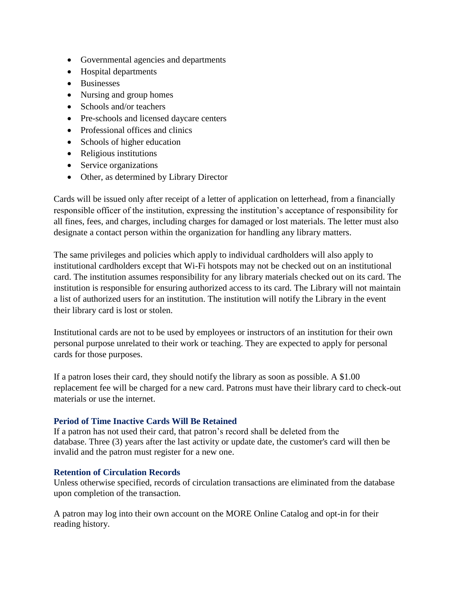- Governmental agencies and departments
- Hospital departments
- Businesses
- Nursing and group homes
- Schools and/or teachers
- Pre-schools and licensed daycare centers
- Professional offices and clinics
- Schools of higher education
- Religious institutions
- Service organizations
- Other, as determined by Library Director

Cards will be issued only after receipt of a letter of application on letterhead, from a financially responsible officer of the institution, expressing the institution's acceptance of responsibility for all fines, fees, and charges, including charges for damaged or lost materials. The letter must also designate a contact person within the organization for handling any library matters.

The same privileges and policies which apply to individual cardholders will also apply to institutional cardholders except that Wi-Fi hotspots may not be checked out on an institutional card. The institution assumes responsibility for any library materials checked out on its card. The institution is responsible for ensuring authorized access to its card. The Library will not maintain a list of authorized users for an institution. The institution will notify the Library in the event their library card is lost or stolen.

Institutional cards are not to be used by employees or instructors of an institution for their own personal purpose unrelated to their work or teaching. They are expected to apply for personal cards for those purposes.

If a patron loses their card, they should notify the library as soon as possible. A \$1.00 replacement fee will be charged for a new card. Patrons must have their library card to check-out materials or use the internet.

#### **Period of Time Inactive Cards Will Be Retained**

If a patron has not used their card, that patron's record shall be deleted from the database. Three (3) years after the last activity or update date, the customer's card will then be invalid and the patron must register for a new one.

#### **Retention of Circulation Records**

Unless otherwise specified, records of circulation transactions are eliminated from the database upon completion of the transaction.

A patron may log into their own account on the MORE Online Catalog and opt-in for their reading history.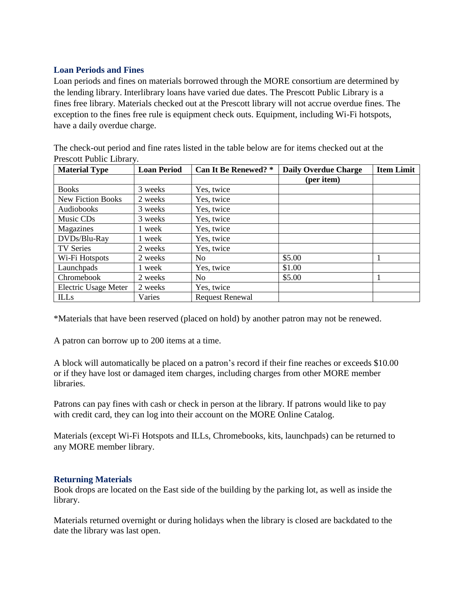## **Loan Periods and Fines**

Loan periods and fines on materials borrowed through the MORE consortium are determined by the lending library. Interlibrary loans have varied due dates. The Prescott Public Library is a fines free library. Materials checked out at the Prescott library will not accrue overdue fines. The exception to the fines free rule is equipment check outs. Equipment, including Wi-Fi hotspots, have a daily overdue charge.

The check-out period and fine rates listed in the table below are for items checked out at the Prescott Public Library.

| <b>Material Type</b>        | <b>Loan Period</b> | <b>Can It Be Renewed?</b> * | <b>Daily Overdue Charge</b> | <b>Item Limit</b> |
|-----------------------------|--------------------|-----------------------------|-----------------------------|-------------------|
|                             |                    |                             | (per item)                  |                   |
| <b>Books</b>                | 3 weeks            | Yes, twice                  |                             |                   |
| <b>New Fiction Books</b>    | 2 weeks            | Yes, twice                  |                             |                   |
| Audiobooks                  | 3 weeks            | Yes, twice                  |                             |                   |
| Music CDs                   | 3 weeks            | Yes, twice                  |                             |                   |
| Magazines                   | 1 week             | Yes, twice                  |                             |                   |
| DVDs/Blu-Ray                | 1 week             | Yes, twice                  |                             |                   |
| <b>TV Series</b>            | 2 weeks            | Yes, twice                  |                             |                   |
| Wi-Fi Hotspots              | 2 weeks            | No                          | \$5.00                      |                   |
| Launchpads                  | 1 week             | Yes, twice                  | \$1.00                      |                   |
| Chromebook                  | 2 weeks            | N <sub>0</sub>              | \$5.00                      |                   |
| <b>Electric Usage Meter</b> | 2 weeks            | Yes, twice                  |                             |                   |
| <b>ILLs</b>                 | Varies             | <b>Request Renewal</b>      |                             |                   |

\*Materials that have been reserved (placed on hold) by another patron may not be renewed.

A patron can borrow up to 200 items at a time.

A block will automatically be placed on a patron's record if their fine reaches or exceeds \$10.00 or if they have lost or damaged item charges, including charges from other MORE member libraries.

Patrons can pay fines with cash or check in person at the library. If patrons would like to pay with credit card, they can log into their account on the MORE Online Catalog.

Materials (except Wi-Fi Hotspots and ILLs, Chromebooks, kits, launchpads) can be returned to any MORE member library.

## **Returning Materials**

Book drops are located on the East side of the building by the parking lot, as well as inside the library.

Materials returned overnight or during holidays when the library is closed are backdated to the date the library was last open.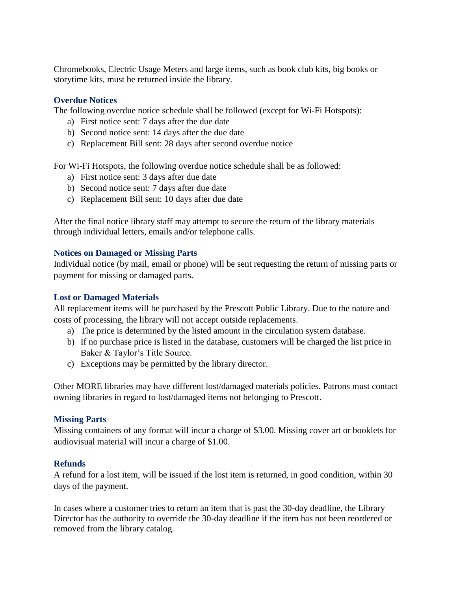Chromebooks, Electric Usage Meters and large items, such as book club kits, big books or storytime kits, must be returned inside the library.

#### **Overdue Notices**

The following overdue notice schedule shall be followed (except for Wi-Fi Hotspots):

- a) First notice sent: 7 days after the due date
- b) Second notice sent: 14 days after the due date
- c) Replacement Bill sent: 28 days after second overdue notice

For Wi-Fi Hotspots, the following overdue notice schedule shall be as followed:

- a) First notice sent: 3 days after due date
- b) Second notice sent: 7 days after due date
- c) Replacement Bill sent: 10 days after due date

After the final notice library staff may attempt to secure the return of the library materials through individual letters, emails and/or telephone calls.

#### **Notices on Damaged or Missing Parts**

Individual notice (by mail, email or phone) will be sent requesting the return of missing parts or payment for missing or damaged parts.

#### **Lost or Damaged Materials**

All replacement items will be purchased by the Prescott Public Library. Due to the nature and costs of processing, the library will not accept outside replacements.

- a) The price is determined by the listed amount in the circulation system database.
- b) If no purchase price is listed in the database, customers will be charged the list price in Baker & Taylor's Title Source.
- c) Exceptions may be permitted by the library director.

Other MORE libraries may have different lost/damaged materials policies. Patrons must contact owning libraries in regard to lost/damaged items not belonging to Prescott.

#### **Missing Parts**

Missing containers of any format will incur a charge of \$3.00. Missing cover art or booklets for audiovisual material will incur a charge of \$1.00.

## **Refunds**

A refund for a lost item, will be issued if the lost item is returned, in good condition, within 30 days of the payment.

In cases where a customer tries to return an item that is past the 30-day deadline, the Library Director has the authority to override the 30-day deadline if the item has not been reordered or removed from the library catalog.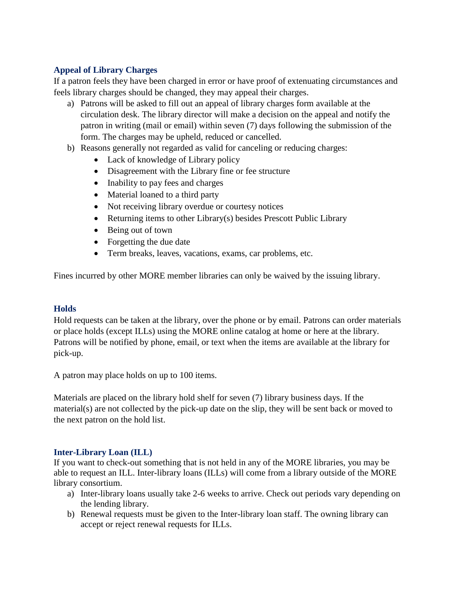## **Appeal of Library Charges**

If a patron feels they have been charged in error or have proof of extenuating circumstances and feels library charges should be changed, they may appeal their charges.

- a) Patrons will be asked to fill out an appeal of library charges form available at the circulation desk. The library director will make a decision on the appeal and notify the patron in writing (mail or email) within seven (7) days following the submission of the form. The charges may be upheld, reduced or cancelled.
- b) Reasons generally not regarded as valid for canceling or reducing charges:
	- Lack of knowledge of Library policy
	- Disagreement with the Library fine or fee structure
	- Inability to pay fees and charges
	- Material loaned to a third party
	- Not receiving library overdue or courtesy notices
	- Returning items to other Library(s) besides Prescott Public Library
	- Being out of town
	- Forgetting the due date
	- Term breaks, leaves, vacations, exams, car problems, etc.

Fines incurred by other MORE member libraries can only be waived by the issuing library.

#### **Holds**

Hold requests can be taken at the library, over the phone or by email. Patrons can order materials or place holds (except ILLs) using the MORE online catalog at home or here at the library. Patrons will be notified by phone, email, or text when the items are available at the library for pick-up.

A patron may place holds on up to 100 items.

Materials are placed on the library hold shelf for seven (7) library business days. If the material(s) are not collected by the pick-up date on the slip, they will be sent back or moved to the next patron on the hold list.

#### **Inter-Library Loan (ILL)**

If you want to check-out something that is not held in any of the MORE libraries, you may be able to request an ILL. Inter-library loans (ILLs) will come from a library outside of the MORE library consortium.

- a) Inter-library loans usually take 2-6 weeks to arrive. Check out periods vary depending on the lending library.
- b) Renewal requests must be given to the Inter-library loan staff. The owning library can accept or reject renewal requests for ILLs.